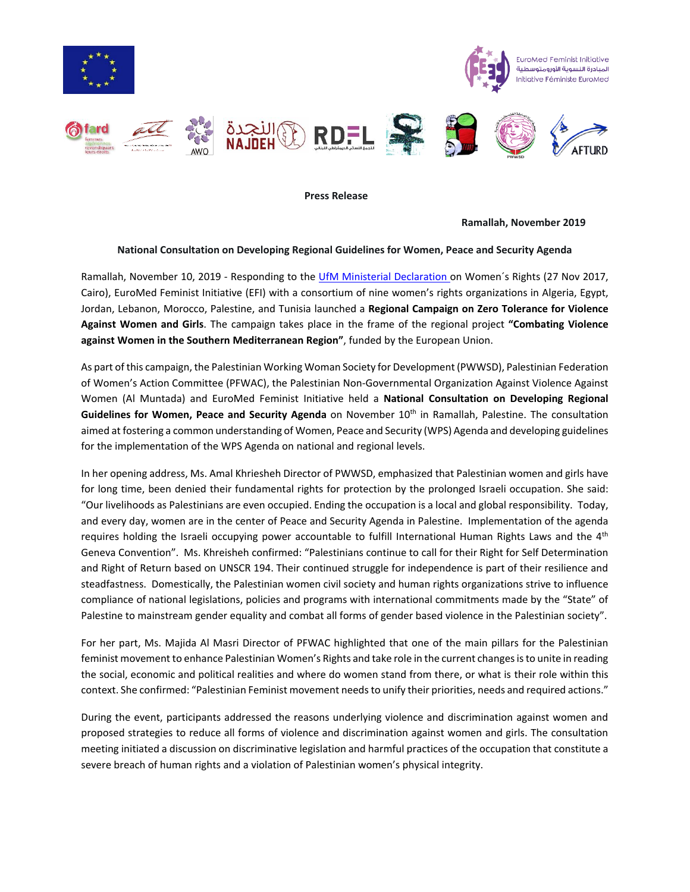

 **Press Release**

 **Ramallah, November 2019**

## **National Consultation on Developing Regional Guidelines for Women, Peace and Security Agenda**

Ramallah, November 10, 2019 - Responding to the UfM [Ministerial Declaration](https://ufmsecretariat.org/wp-content/uploads/2017/11/womenfinaldeclaration.pdf) on Women's Rights (27 Nov 2017, Cairo), EuroMed Feminist Initiative (EFI) with a consortium of nine women's rights organizations in Algeria, Egypt, Jordan, Lebanon, Morocco, Palestine, and Tunisia launched a **Regional Campaign on Zero Tolerance for Violence Against Women and Girls**. The campaign takes place in the frame of the regional project **"Combating Violence against Women in the Southern Mediterranean Region"**, funded by the European Union.

As part of this campaign, the Palestinian Working Woman Society for Development (PWWSD), Palestinian Federation of Women's Action Committee (PFWAC), the Palestinian Non-Governmental Organization Against Violence Against Women (Al Muntada) and EuroMed Feminist Initiative held a **National Consultation on Developing Regional Guidelines for Women, Peace and Security Agenda** on November 10th in Ramallah, Palestine. The consultation aimed at fostering a common understanding of Women, Peace and Security (WPS) Agenda and developing guidelines for the implementation of the WPS Agenda on national and regional levels.

In her opening address, Ms. Amal Khriesheh Director of PWWSD, emphasized that Palestinian women and girls have for long time, been denied their fundamental rights for protection by the prolonged Israeli occupation. She said: "Our livelihoods as Palestinians are even occupied. Ending the occupation is a local and global responsibility. Today, and every day, women are in the center of Peace and Security Agenda in Palestine. Implementation of the agenda requires holding the Israeli occupying power accountable to fulfill International Human Rights Laws and the  $4<sup>th</sup>$ Geneva Convention". Ms. Khreisheh confirmed: "Palestinians continue to call for their Right for Self Determination and Right of Return based on UNSCR 194. Their continued struggle for independence is part of their resilience and steadfastness. Domestically, the Palestinian women civil society and human rights organizations strive to influence compliance of national legislations, policies and programs with international commitments made by the "State" of Palestine to mainstream gender equality and combat all forms of gender based violence in the Palestinian society".

For her part, Ms. Majida Al Masri Director of PFWAC highlighted that one of the main pillars for the Palestinian feminist movement to enhance Palestinian Women's Rights and take role in the current changes is to unite in reading the social, economic and political realities and where do women stand from there, or what is their role within this context. She confirmed: "Palestinian Feminist movement needs to unify their priorities, needs and required actions."

During the event, participants addressed the reasons underlying violence and discrimination against women and proposed strategies to reduce all forms of violence and discrimination against women and girls. The consultation meeting initiated a discussion on discriminative legislation and harmful practices of the occupation that constitute a severe breach of human rights and a violation of Palestinian women's physical integrity.